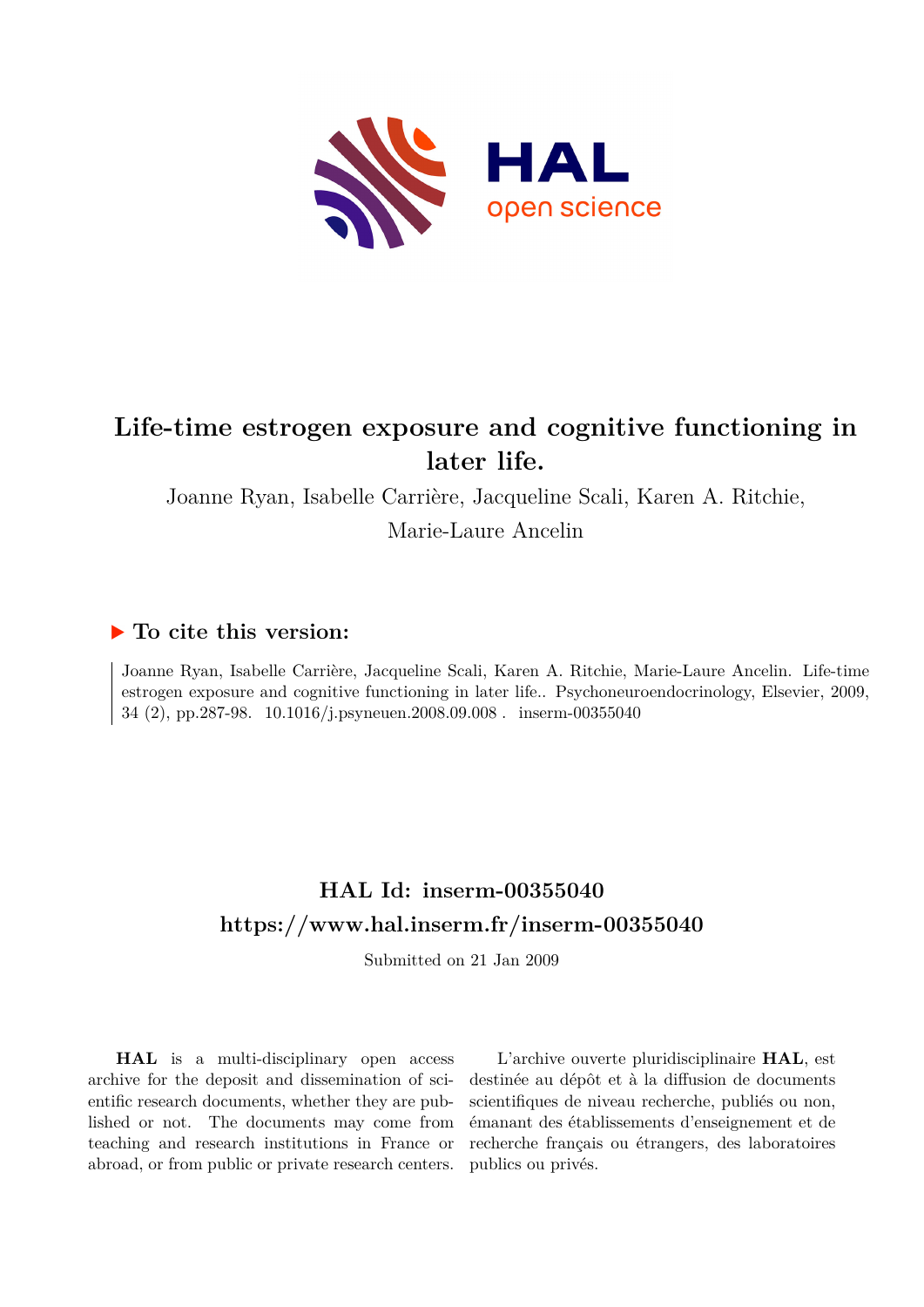

## **Life-time estrogen exposure and cognitive functioning in later life.**

Joanne Ryan, Isabelle Carrière, Jacqueline Scali, Karen A. Ritchie,

Marie-Laure Ancelin

## **To cite this version:**

Joanne Ryan, Isabelle Carrière, Jacqueline Scali, Karen A. Ritchie, Marie-Laure Ancelin. Life-time estrogen exposure and cognitive functioning in later life.. Psychoneuroendocrinology, Elsevier, 2009, 34 (2), pp.287-98.  $10.1016/j.psyneuen.2008.09.008$ . inserm-00355040

## **HAL Id: inserm-00355040 <https://www.hal.inserm.fr/inserm-00355040>**

Submitted on 21 Jan 2009

**HAL** is a multi-disciplinary open access archive for the deposit and dissemination of scientific research documents, whether they are published or not. The documents may come from teaching and research institutions in France or abroad, or from public or private research centers.

L'archive ouverte pluridisciplinaire **HAL**, est destinée au dépôt et à la diffusion de documents scientifiques de niveau recherche, publiés ou non, émanant des établissements d'enseignement et de recherche français ou étrangers, des laboratoires publics ou privés.